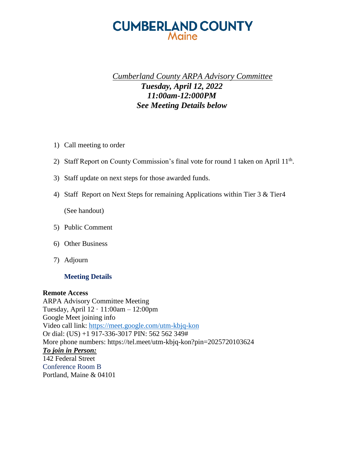# **CUMBERLAND COUNTY** Maine

## *Cumberland County ARPA Advisory Committee Tuesday, April 12, 2022 11:00am-12:000PM See Meeting Details below*

- 1) Call meeting to order
- 2) Staff Report on County Commission's final vote for round 1 taken on April  $11<sup>th</sup>$ .
- 3) Staff update on next steps for those awarded funds.
- 4) Staff Report on Next Steps for remaining Applications within Tier 3 & Tier4

(See handout)

- 5) Public Comment
- 6) Other Business
- 7) Adjourn

#### **Meeting Details**

#### **Remote Access**

ARPA Advisory Committee Meeting Tuesday, April 12 · 11:00am – 12:00pm Google Meet joining info Video call link:<https://meet.google.com/utm-kbjq-kon> Or dial: (US) +1 917-336-3017 PIN: 562 562 349# More phone numbers: https://tel.meet/utm-kbjq-kon?pin=2025720103624 *To join in Person:*  142 Federal Street Conference Room B Portland, Maine & 04101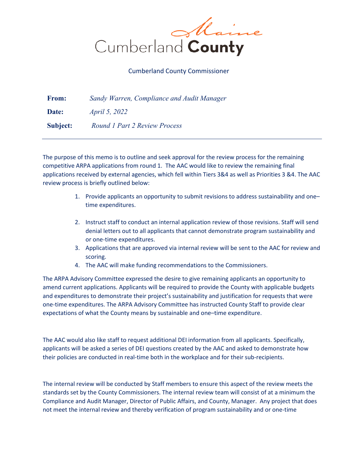

#### Cumberland County Commissioner

| <b>From:</b> | Sandy Warren, Compliance and Audit Manager |
|--------------|--------------------------------------------|
| Date:        | <i>April 5, 2022</i>                       |
| Subject:     | Round 1 Part 2 Review Process              |

The purpose of this memo is to outline and seek approval for the review process for the remaining competitive ARPA applications from round 1. The AAC would like to review the remaining final applications received by external agencies, which fell within Tiers 3&4 as well as Priorities 3 &4. The AAC review process is briefly outlined below:

- 1. Provide applicants an opportunity to submit revisions to address sustainability and one– time expenditures.
- 2. Instruct staff to conduct an internal application review of those revisions. Staff will send denial letters out to all applicants that cannot demonstrate program sustainability and or one-time expenditures.
- 3. Applications that are approved via internal review will be sent to the AAC for review and scoring.
- 4. The AAC will make funding recommendations to the Commissioners.

The ARPA Advisory Committee expressed the desire to give remaining applicants an opportunity to amend current applications. Applicants will be required to provide the County with applicable budgets and expenditures to demonstrate their project's sustainability and justification for requests that were one-time expenditures. The ARPA Advisory Committee has instructed County Staff to provide clear expectations of what the County means by sustainable and one–time expenditure.

The AAC would also like staff to request additional DEI information from all applicants. Specifically, applicants will be asked a series of DEI questions created by the AAC and asked to demonstrate how their policies are conducted in real-time both in the workplace and for their sub-recipients.

The internal review will be conducted by Staff members to ensure this aspect of the review meets the standards set by the County Commissioners. The internal review team will consist of at a minimum the Compliance and Audit Manager, Director of Public Affairs, and County, Manager. Any project that does not meet the internal review and thereby verification of program sustainability and or one-time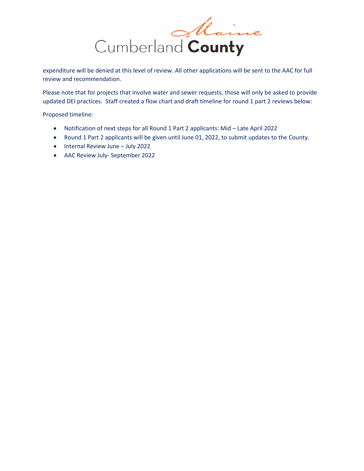

expenditure will be denied at this level of review. All other applications will be sent to the AAC for full review and recommendation.

Please note that for projects that involve water and sewer requests, those will only be asked to provide updated DEI practices. Staff created a flow chart and draft timeline for round 1 part 2 reviews below:

Proposed timeline:

- Notification of next steps for all Round 1 Part 2 applicants: Mid Late April 2022
- Round 1 Part 2 applicants will be given until June 01, 2022, to submit updates to the County.
- Internal Review June July 2022
- AAC Review July- September 2022